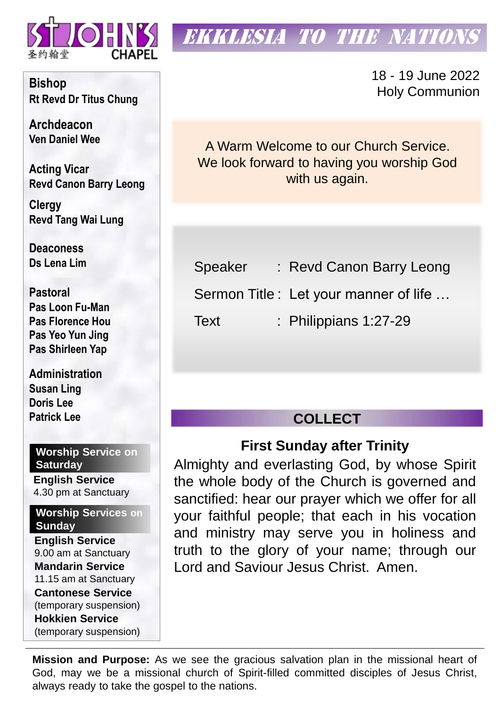

# EKKLESIA TO THE NATIONS

18 - 19 June 2022 Holy Communion

A Warm Welcome to our Church Service. We look forward to having you worship God with us again.

Speaker : Revd Canon Barry Leong

Sermon Title : Let your manner of life …

Text : Philippians 1:27-29

# **COLLECT**

# **First Sunday after Trinity**

Almighty and everlasting God, by whose Spirit the whole body of the Church is governed and sanctified: hear our prayer which we offer for all your faithful people; that each in his vocation and ministry may serve you in holiness and truth to the glory of your name; through our Lord and Saviour Jesus Christ. Amen.

**Mission and Purpose:** As we see the gracious salvation plan in the missional heart of God, may we be a missional church of Spirit-filled committed disciples of Jesus Christ, always ready to take the gospel to the nations.

**Bishop Rt Revd Dr Titus Chung**

**Archdeacon Ven Daniel Wee**

**Acting Vicar Revd Canon Barry Leong** 

**Clergy Revd Tang Wai Lung**

**Deaconess Ds Lena Lim**

**Pastoral Pas Loon Fu-Man Pas Florence Hou Pas Yeo Yun Jing Pas Shirleen Yap**

**Administration Susan Ling Doris Lee Patrick Lee**

### **Worship Service on Saturday**

**English Service**  4.30 pm at Sanctuary

#### **Worship Services on Sunday**

**English Service** 9.00 am at Sanctuary **Mandarin Service** 11.15 am at Sanctuary **Cantonese Service** (temporary suspension) **Hokkien Service** (temporary suspension)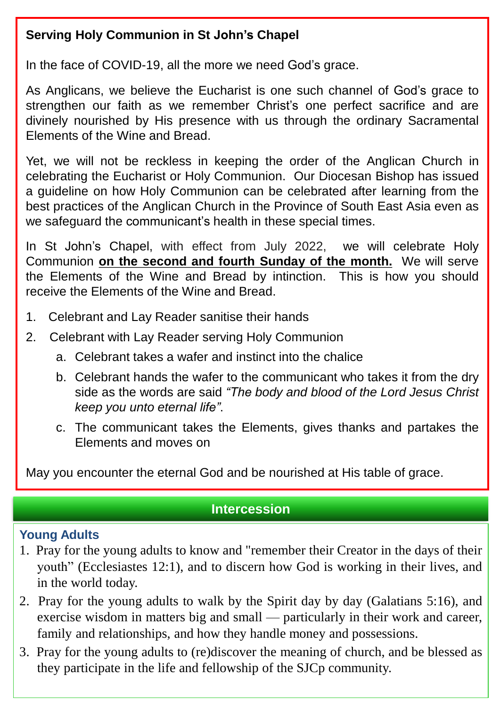# **Serving Holy Communion in St John's Chapel**

In the face of COVID-19, all the more we need God's grace.

As Anglicans, we believe the Eucharist is one such channel of God's grace to strengthen our faith as we remember Christ's one perfect sacrifice and are divinely nourished by His presence with us through the ordinary Sacramental Elements of the Wine and Bread.

Yet, we will not be reckless in keeping the order of the Anglican Church in celebrating the Eucharist or Holy Communion. Our Diocesan Bishop has issued a guideline on how Holy Communion can be celebrated after learning from the best practices of the Anglican Church in the Province of South East Asia even as we safeguard the communicant's health in these special times.

In St John's Chapel, with effect from July 2022, we will celebrate Holy Communion **on the second and fourth Sunday of the month.** We will serve the Elements of the Wine and Bread by intinction. This is how you should receive the Elements of the Wine and Bread.

- 1. Celebrant and Lay Reader sanitise their hands
- 2. Celebrant with Lay Reader serving Holy Communion
	- a. Celebrant takes a wafer and instinct into the chalice
	- b. Celebrant hands the wafer to the communicant who takes it from the dry side as the words are said *"The body and blood of the Lord Jesus Christ keep you unto eternal life"*.
	- c. The communicant takes the Elements, gives thanks and partakes the Elements and moves on

May you encounter the eternal God and be nourished at His table of grace.

## **Intercession**

## **Young Adults**

- 1. Pray for the young adults to know and "remember their Creator in the days of their youth" (Ecclesiastes 12:1), and to discern how God is working in their lives, and in the world today.
- 2. Pray for the young adults to walk by the Spirit day by day (Galatians 5:16), and exercise wisdom in matters big and small — particularly in their work and career, family and relationships, and how they handle money and possessions.
- 3. Pray for the young adults to (re)discover the meaning of church, and be blessed as they participate in the life and fellowship of the SJCp community.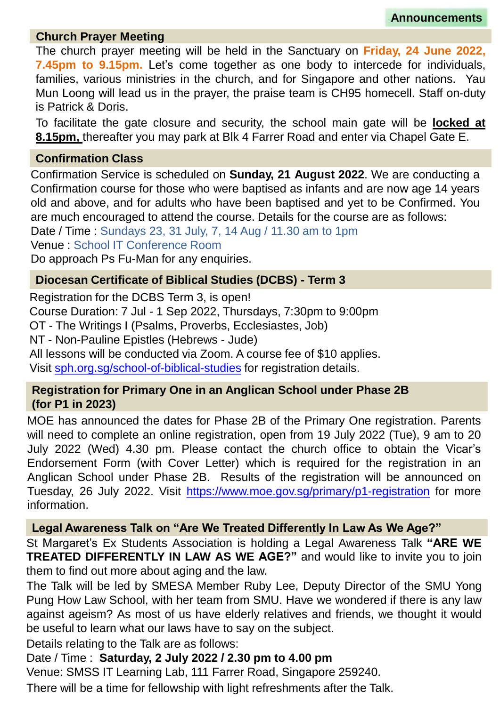**Announcements**

#### **Church Prayer Meeting**

The church prayer meeting will be held in the Sanctuary on **Friday, 24 June 2022, 7.45pm to 9.15pm.** Let's come together as one body to intercede for individuals, families, various ministries in the church, and for Singapore and other nations. Yau Mun Loong will lead us in the prayer, the praise team is CH95 homecell. Staff on-duty is Patrick & Doris.

To facilitate the gate closure and security, the school main gate will be **locked at 8.15pm,** thereafter you may park at Blk 4 Farrer Road and enter via Chapel Gate E.

#### **Confirmation Class**

Confirmation Service is scheduled on **Sunday, 21 August 2022**. We are conducting a Confirmation course for those who were baptised as infants and are now age 14 years old and above, and for adults who have been baptised and yet to be Confirmed. You are much encouraged to attend the course. Details for the course are as follows:

Date / Time : Sundays 23, 31 July, 7, 14 Aug / 11.30 am to 1pm

Venue : School IT Conference Room

Do approach Ps Fu-Man for any enquiries.

#### **Diocesan Certificate of Biblical Studies (DCBS) - Term 3**

Registration for the DCBS Term 3, is open! Course Duration: 7 Jul - 1 Sep 2022, Thursdays, 7:30pm to 9:00pm OT - The Writings I (Psalms, Proverbs, Ecclesiastes, Job) NT - Non-Pauline Epistles (Hebrews - Jude) All lessons will be conducted via Zoom. A course fee of \$10 applies. Visit [sph.org.sg/school-of-biblical-studies](http://sph.org.sg/school-of-biblical-studies) for registration details.

#### **Registration for Primary One in an Anglican School under Phase 2B (for P1 in 2023)**

MOE has announced the dates for Phase 2B of the Primary One registration. Parents will need to complete an online registration, open from 19 July 2022 (Tue), 9 am to 20 July 2022 (Wed) 4.30 pm. Please contact the church office to obtain the Vicar's Endorsement Form (with Cover Letter) which is required for the registration in an Anglican School under Phase 2B. Results of the registration will be announced on Tuesday, 26 July 2022. Visit <https://www.moe.gov.sg/primary/p1-registration> for more information.

#### **Legal Awareness Talk on "Are We Treated Differently In Law As We Age?"**

St Margaret's Ex Students Association is holding a Legal Awareness Talk **"ARE WE TREATED DIFFERENTLY IN LAW AS WE AGE?"** and would like to invite you to join them to find out more about aging and the law.

The Talk will be led by SMESA Member Ruby Lee, Deputy Director of the SMU Yong Pung How Law School, with her team from SMU. Have we wondered if there is any law against ageism? As most of us have elderly relatives and friends, we thought it would be useful to learn what our laws have to say on the subject.

Details relating to the Talk are as follows:

#### Date / Time : **Saturday, 2 July 2022 / 2.30 pm to 4.00 pm**

Venue: SMSS IT Learning Lab, 111 Farrer Road, Singapore 259240.

There will be a time for fellowship with light refreshments after the Talk.